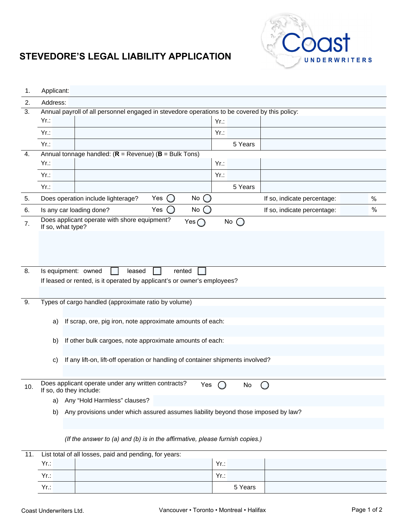

## **STEVEDORE'S LEGAL LIABILITY APPLICATION**

| 1.  | Applicant:                                                                              |                                                                                               |             |                             |               |
|-----|-----------------------------------------------------------------------------------------|-----------------------------------------------------------------------------------------------|-------------|-----------------------------|---------------|
| 2.  | Address:                                                                                |                                                                                               |             |                             |               |
| 3.  |                                                                                         | Annual payroll of all personnel engaged in stevedore operations to be covered by this policy: |             |                             |               |
|     | $Yr$ .:                                                                                 |                                                                                               | $Yr$ .:     |                             |               |
|     | $Yr$ .:                                                                                 |                                                                                               | $Yr$ .:     |                             |               |
|     | $Yr$ .:                                                                                 |                                                                                               | 5 Years     |                             |               |
| 4.  |                                                                                         | Annual tonnage handled: $(R = Revenue)$ ( $B = Bulk Tons$ )                                   |             |                             |               |
|     | $Yr$ .:                                                                                 |                                                                                               | $Yr$ .:     |                             |               |
|     | $Yr$ .:                                                                                 |                                                                                               | $Yr$ .:     |                             |               |
|     | $Yr$ :                                                                                  |                                                                                               | 5 Years     |                             |               |
| 5.  |                                                                                         | $No$ $()$<br>Does operation include lighterage?<br>Yes<br>$\Box$                              |             | If so, indicate percentage: | $\frac{0}{0}$ |
| 6.  |                                                                                         | No<br>Yes<br>Is any car loading done?                                                         |             | If so, indicate percentage: | $\%$          |
| 7.  |                                                                                         | Does applicant operate with shore equipment?<br>Yes $\bigcap$<br>If so, what type?            | No (<br>( ) |                             |               |
|     |                                                                                         |                                                                                               |             |                             |               |
|     |                                                                                         |                                                                                               |             |                             |               |
|     |                                                                                         |                                                                                               |             |                             |               |
| 8.  | Is equipment: owned<br>leased<br>rented                                                 |                                                                                               |             |                             |               |
|     |                                                                                         | If leased or rented, is it operated by applicant's or owner's employees?                      |             |                             |               |
|     |                                                                                         |                                                                                               |             |                             |               |
| 9.  |                                                                                         | Types of cargo handled (approximate ratio by volume)                                          |             |                             |               |
|     |                                                                                         |                                                                                               |             |                             |               |
|     | a)                                                                                      | If scrap, ore, pig iron, note approximate amounts of each:                                    |             |                             |               |
|     |                                                                                         |                                                                                               |             |                             |               |
|     | b)                                                                                      | If other bulk cargoes, note approximate amounts of each:                                      |             |                             |               |
|     |                                                                                         |                                                                                               |             |                             |               |
|     | C)                                                                                      | If any lift-on, lift-off operation or handling of container shipments involved?               |             |                             |               |
|     |                                                                                         |                                                                                               |             |                             |               |
| 10. |                                                                                         | Does applicant operate under any written contracts?<br>Yes<br>If so, do they include:         | No          |                             |               |
|     | a)                                                                                      | Any "Hold Harmless" clauses?                                                                  |             |                             |               |
|     | Any provisions under which assured assumes liability beyond those imposed by law?<br>b) |                                                                                               |             |                             |               |
|     |                                                                                         |                                                                                               |             |                             |               |
|     |                                                                                         | (If the answer to (a) and (b) is in the affirmative, please furnish copies.)                  |             |                             |               |

| 11. | List total of all losses, paid and pending, for years: |  |         |  |  |
|-----|--------------------------------------------------------|--|---------|--|--|
|     | $Yr$ .:                                                |  | $Yr$ .: |  |  |
|     | $Yr$ .:                                                |  | $Yr$ .: |  |  |
|     | $Yr$ .:                                                |  | 5 Years |  |  |